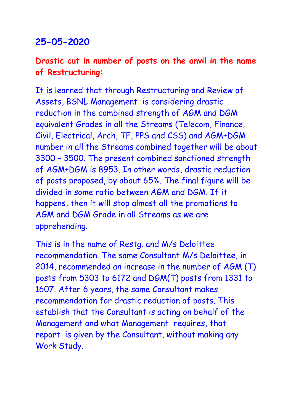## **25-05-2020**

## **Drastic cut in number of posts on the anvil in the name of Restructuring:**

It is learned that through Restructuring and Review of Assets, BSNL Management is considering drastic reduction in the combined strength of AGM and DGM equivalent Grades in all the Streams (Telecom, Finance, Civil, Electrical, Arch, TF, PPS and CSS) and AGM+DGM number in all the Streams combined together will be about 3300 – 3500. The present combined sanctioned strength of AGM+DGM is 8953. In other words, drastic reduction of posts proposed, by about 65%. The final figure will be divided in some ratio between AGM and DGM. If it happens, then it will stop almost all the promotions to AGM and DGM Grade in all Streams as we are apprehending.

This is in the name of Restg. and M/s Deloittee recommendation. The same Consultant M/s Deloittee, in 2014, recommended an increase in the number of AGM (T) posts from 5303 to 6172 and DGM(T) posts from 1331 to 1607. After 6 years, the same Consultant makes recommendation for drastic reduction of posts. This establish that the Consultant is acting on behalf of the Management and what Management requires, that report is given by the Consultant, without making any Work Study.